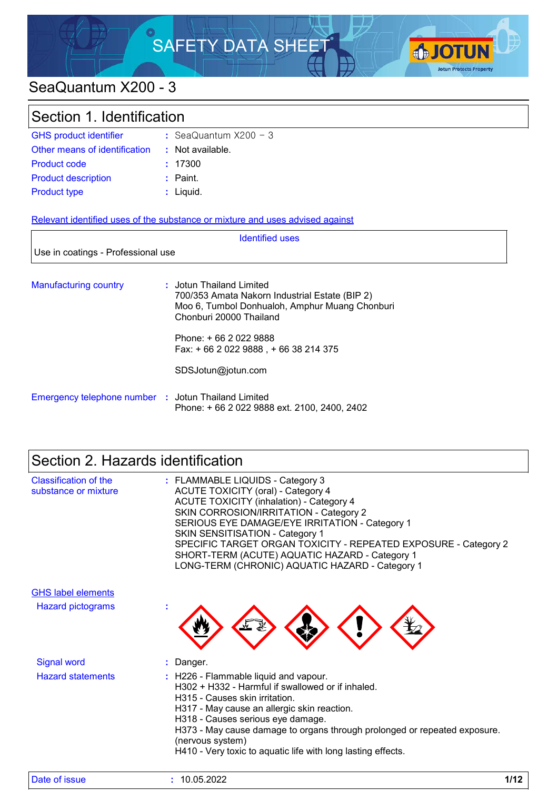

# SeaQuantum X200 - 3

| Section 1. Identification          |                                                                               |  |
|------------------------------------|-------------------------------------------------------------------------------|--|
| <b>GHS product identifier</b>      | : SeaQuantum $X200 - 3$                                                       |  |
| Other means of identification      | : Not available.                                                              |  |
| Product code                       | : 17300                                                                       |  |
| <b>Product description</b>         | $:$ Paint.                                                                    |  |
| <b>Product type</b>                | $:$ Liquid.                                                                   |  |
|                                    | Relevant identified uses of the substance or mixture and uses advised against |  |
|                                    | <b>Identified uses</b>                                                        |  |
| Use in coatings - Professional use |                                                                               |  |
|                                    |                                                                               |  |

| <b>Manufacturing country</b>                        | : Jotun Thailand Limited<br>700/353 Amata Nakorn Industrial Estate (BIP 2)<br>Moo 6, Tumbol Donhualoh, Amphur Muang Chonburi<br>Chonburi 20000 Thailand |
|-----------------------------------------------------|---------------------------------------------------------------------------------------------------------------------------------------------------------|
|                                                     | Phone: + 66 2 022 9888<br>Fax: $+6620229888 + 6638214375$                                                                                               |
|                                                     | SDSJotun@jotun.com                                                                                                                                      |
| Emergency telephone number : Jotun Thailand Limited | Phone: +66 2 022 9888 ext. 2100, 2400, 2402                                                                                                             |

# Section 2. Hazards identification

| Classification of the<br>substance or mixture | : FLAMMABLE LIQUIDS - Category 3<br>ACUTE TOXICITY (oral) - Category 4<br><b>ACUTE TOXICITY (inhalation) - Category 4</b><br>SKIN CORROSION/IRRITATION - Category 2<br>SERIOUS EYE DAMAGE/EYE IRRITATION - Category 1<br><b>SKIN SENSITISATION - Category 1</b><br>SPECIFIC TARGET ORGAN TOXICITY - REPEATED EXPOSURE - Category 2<br>SHORT-TERM (ACUTE) AQUATIC HAZARD - Category 1<br>LONG-TERM (CHRONIC) AQUATIC HAZARD - Category 1 |
|-----------------------------------------------|-----------------------------------------------------------------------------------------------------------------------------------------------------------------------------------------------------------------------------------------------------------------------------------------------------------------------------------------------------------------------------------------------------------------------------------------|
| <b>GHS label elements</b>                     |                                                                                                                                                                                                                                                                                                                                                                                                                                         |
| <b>Hazard pictograms</b>                      |                                                                                                                                                                                                                                                                                                                                                                                                                                         |
| <b>Signal word</b>                            | : Danger.                                                                                                                                                                                                                                                                                                                                                                                                                               |
| <b>Hazard statements</b>                      | : H226 - Flammable liquid and vapour.<br>H302 + H332 - Harmful if swallowed or if inhaled.<br>H315 - Causes skin irritation.<br>H317 - May cause an allergic skin reaction.<br>H318 - Causes serious eye damage.<br>H373 - May cause damage to organs through prolonged or repeated exposure.<br>(nervous system)<br>H410 - Very toxic to aquatic life with long lasting effects.                                                       |

| Date of issue | 10.05.2022 | 140<br>17 LZ |
|---------------|------------|--------------|
|---------------|------------|--------------|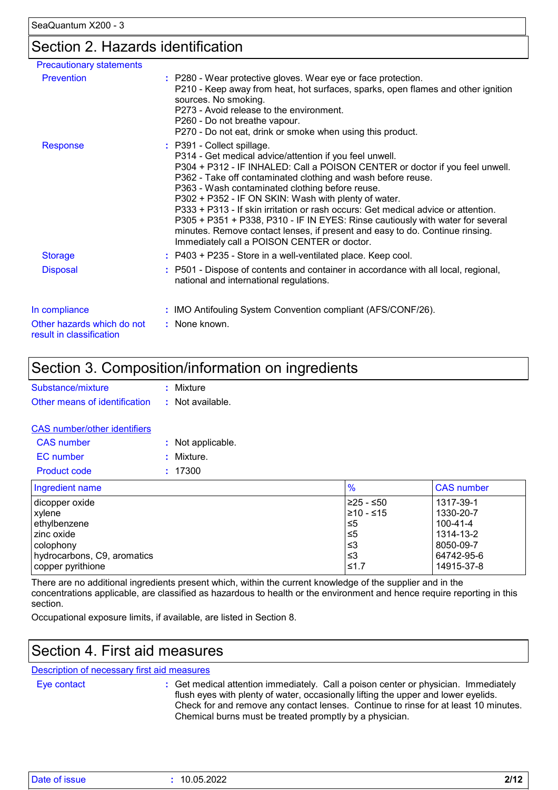### Section 2. Hazards identification

| <b>Precautionary statements</b>                        |                                                                                                                                                                                                                                                                                                                                                                                                                                                                                                                                                                                                                                                        |
|--------------------------------------------------------|--------------------------------------------------------------------------------------------------------------------------------------------------------------------------------------------------------------------------------------------------------------------------------------------------------------------------------------------------------------------------------------------------------------------------------------------------------------------------------------------------------------------------------------------------------------------------------------------------------------------------------------------------------|
| <b>Prevention</b>                                      | : P280 - Wear protective gloves. Wear eye or face protection.<br>P210 - Keep away from heat, hot surfaces, sparks, open flames and other ignition<br>sources. No smoking.<br>P273 - Avoid release to the environment.<br>P260 - Do not breathe vapour.<br>P270 - Do not eat, drink or smoke when using this product.                                                                                                                                                                                                                                                                                                                                   |
| Response                                               | : P391 - Collect spillage.<br>P314 - Get medical advice/attention if you feel unwell.<br>P304 + P312 - IF INHALED: Call a POISON CENTER or doctor if you feel unwell.<br>P362 - Take off contaminated clothing and wash before reuse.<br>P363 - Wash contaminated clothing before reuse.<br>P302 + P352 - IF ON SKIN: Wash with plenty of water.<br>P333 + P313 - If skin irritation or rash occurs: Get medical advice or attention.<br>P305 + P351 + P338, P310 - IF IN EYES: Rinse cautiously with water for several<br>minutes. Remove contact lenses, if present and easy to do. Continue rinsing.<br>Immediately call a POISON CENTER or doctor. |
| <b>Storage</b>                                         | : P403 + P235 - Store in a well-ventilated place. Keep cool.                                                                                                                                                                                                                                                                                                                                                                                                                                                                                                                                                                                           |
| <b>Disposal</b>                                        | : P501 - Dispose of contents and container in accordance with all local, regional,<br>national and international regulations.                                                                                                                                                                                                                                                                                                                                                                                                                                                                                                                          |
| In compliance                                          | : IMO Antifouling System Convention compliant (AFS/CONF/26).                                                                                                                                                                                                                                                                                                                                                                                                                                                                                                                                                                                           |
| Other hazards which do not<br>result in classification | : None known.                                                                                                                                                                                                                                                                                                                                                                                                                                                                                                                                                                                                                                          |

### Section 3. Composition/information on ingredients

| Substance/mixture                              | : Mixture |
|------------------------------------------------|-----------|
| Other means of identification : Not available. |           |
|                                                |           |

#### CAS number/other identifiers

| CAS number   | : Not applicable. |
|--------------|-------------------|
| EC number    | : Mixture.        |
| Product code | : 17300           |

| Ingredient name             | $\frac{9}{6}$ | <b>CAS number</b> |
|-----------------------------|---------------|-------------------|
| dicopper oxide              | 225 - ≤50     | 1317-39-1         |
| xylene                      | 210 - ≤15     | 1330-20-7         |
| ethylbenzene                | ≤5            | 100-41-4          |
| l zinc oxide                | ≤5            | 1314-13-2         |
| l colophonv                 | וצ≥           | 8050-09-7         |
| hydrocarbons, C9, aromatics | וצ≥           | 64742-95-6        |
| copper pyrithione           | ≤1.7          | 14915-37-8        |

There are no additional ingredients present which, within the current knowledge of the supplier and in the concentrations applicable, are classified as hazardous to health or the environment and hence require reporting in this section.

Occupational exposure limits, if available, are listed in Section 8.

### Section 4. First aid measures

#### Description of necessary first aid measures

Eye contact **:**

Get medical attention immediately. Call a poison center or physician. Immediately flush eyes with plenty of water, occasionally lifting the upper and lower eyelids. Check for and remove any contact lenses. Continue to rinse for at least 10 minutes. Chemical burns must be treated promptly by a physician.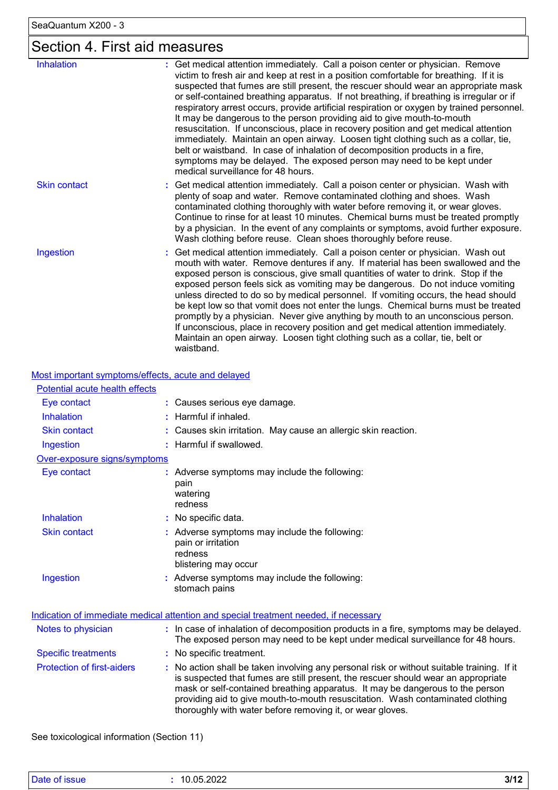# Section 4. First aid measures

| <b>Inhalation</b>   | : Get medical attention immediately. Call a poison center or physician. Remove<br>victim to fresh air and keep at rest in a position comfortable for breathing. If it is<br>suspected that fumes are still present, the rescuer should wear an appropriate mask<br>or self-contained breathing apparatus. If not breathing, if breathing is irregular or if<br>respiratory arrest occurs, provide artificial respiration or oxygen by trained personnel.<br>It may be dangerous to the person providing aid to give mouth-to-mouth<br>resuscitation. If unconscious, place in recovery position and get medical attention<br>immediately. Maintain an open airway. Loosen tight clothing such as a collar, tie,<br>belt or waistband. In case of inhalation of decomposition products in a fire,<br>symptoms may be delayed. The exposed person may need to be kept under<br>medical surveillance for 48 hours. |
|---------------------|-----------------------------------------------------------------------------------------------------------------------------------------------------------------------------------------------------------------------------------------------------------------------------------------------------------------------------------------------------------------------------------------------------------------------------------------------------------------------------------------------------------------------------------------------------------------------------------------------------------------------------------------------------------------------------------------------------------------------------------------------------------------------------------------------------------------------------------------------------------------------------------------------------------------|
| <b>Skin contact</b> | : Get medical attention immediately. Call a poison center or physician. Wash with<br>plenty of soap and water. Remove contaminated clothing and shoes. Wash<br>contaminated clothing thoroughly with water before removing it, or wear gloves.<br>Continue to rinse for at least 10 minutes. Chemical burns must be treated promptly<br>by a physician. In the event of any complaints or symptoms, avoid further exposure.<br>Wash clothing before reuse. Clean shoes thoroughly before reuse.                                                                                                                                                                                                                                                                                                                                                                                                                 |
| Ingestion           | : Get medical attention immediately. Call a poison center or physician. Wash out<br>mouth with water. Remove dentures if any. If material has been swallowed and the<br>exposed person is conscious, give small quantities of water to drink. Stop if the<br>exposed person feels sick as vomiting may be dangerous. Do not induce vomiting<br>unless directed to do so by medical personnel. If vomiting occurs, the head should<br>be kept low so that vomit does not enter the lungs. Chemical burns must be treated<br>promptly by a physician. Never give anything by mouth to an unconscious person.<br>If unconscious, place in recovery position and get medical attention immediately.<br>Maintain an open airway. Loosen tight clothing such as a collar, tie, belt or<br>waistband.                                                                                                                  |

Most important symptoms/effects, acute and delayed

| Potential acute health effects    |                                                                                                                                                                                                                                                                                                                                                                                                                 |
|-----------------------------------|-----------------------------------------------------------------------------------------------------------------------------------------------------------------------------------------------------------------------------------------------------------------------------------------------------------------------------------------------------------------------------------------------------------------|
| Eye contact                       | : Causes serious eye damage.                                                                                                                                                                                                                                                                                                                                                                                    |
| <b>Inhalation</b>                 | : Harmful if inhaled.                                                                                                                                                                                                                                                                                                                                                                                           |
| <b>Skin contact</b>               | : Causes skin irritation. May cause an allergic skin reaction.                                                                                                                                                                                                                                                                                                                                                  |
| Ingestion                         | : Harmful if swallowed.                                                                                                                                                                                                                                                                                                                                                                                         |
| Over-exposure signs/symptoms      |                                                                                                                                                                                                                                                                                                                                                                                                                 |
| Eye contact                       | : Adverse symptoms may include the following:<br>pain<br>watering<br>redness                                                                                                                                                                                                                                                                                                                                    |
| Inhalation                        | : No specific data.                                                                                                                                                                                                                                                                                                                                                                                             |
| <b>Skin contact</b>               | : Adverse symptoms may include the following:<br>pain or irritation<br>redness<br>blistering may occur                                                                                                                                                                                                                                                                                                          |
| Ingestion                         | : Adverse symptoms may include the following:<br>stomach pains                                                                                                                                                                                                                                                                                                                                                  |
|                                   | Indication of immediate medical attention and special treatment needed, if necessary                                                                                                                                                                                                                                                                                                                            |
| Notes to physician                | : In case of inhalation of decomposition products in a fire, symptoms may be delayed.<br>The exposed person may need to be kept under medical surveillance for 48 hours.                                                                                                                                                                                                                                        |
| <b>Specific treatments</b>        | : No specific treatment.                                                                                                                                                                                                                                                                                                                                                                                        |
| <b>Protection of first-aiders</b> | : No action shall be taken involving any personal risk or without suitable training. If it<br>is suspected that fumes are still present, the rescuer should wear an appropriate<br>mask or self-contained breathing apparatus. It may be dangerous to the person<br>providing aid to give mouth-to-mouth resuscitation. Wash contaminated clothing<br>thoroughly with water before removing it, or wear gloves. |

See toxicological information (Section 11)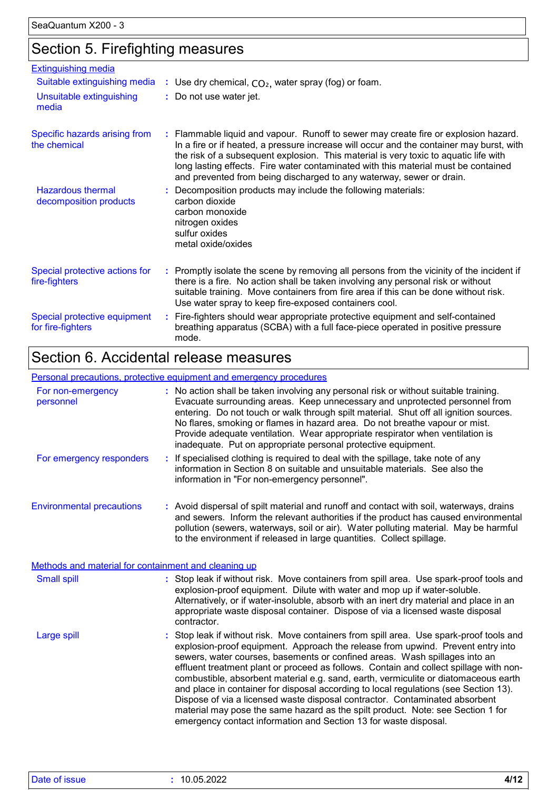### Section 5. Firefighting measures

| <b>Extinguishing media</b>                         |                                                                                                                                                                                                                                                                                                                                                                                                                                       |
|----------------------------------------------------|---------------------------------------------------------------------------------------------------------------------------------------------------------------------------------------------------------------------------------------------------------------------------------------------------------------------------------------------------------------------------------------------------------------------------------------|
| Suitable extinguishing media                       | : Use dry chemical, $CO2$ , water spray (fog) or foam.                                                                                                                                                                                                                                                                                                                                                                                |
| Unsuitable extinguishing<br>media                  | : Do not use water jet.                                                                                                                                                                                                                                                                                                                                                                                                               |
| Specific hazards arising from<br>the chemical      | : Flammable liquid and vapour. Runoff to sewer may create fire or explosion hazard.<br>In a fire or if heated, a pressure increase will occur and the container may burst, with<br>the risk of a subsequent explosion. This material is very toxic to aquatic life with<br>long lasting effects. Fire water contaminated with this material must be contained<br>and prevented from being discharged to any waterway, sewer or drain. |
| <b>Hazardous thermal</b><br>decomposition products | Decomposition products may include the following materials:<br>carbon dioxide<br>carbon monoxide<br>nitrogen oxides<br>sulfur oxides<br>metal oxide/oxides                                                                                                                                                                                                                                                                            |
| Special protective actions for<br>fire-fighters    | : Promptly isolate the scene by removing all persons from the vicinity of the incident if<br>there is a fire. No action shall be taken involving any personal risk or without<br>suitable training. Move containers from fire area if this can be done without risk.<br>Use water spray to keep fire-exposed containers cool.                                                                                                         |
| Special protective equipment<br>for fire-fighters  | : Fire-fighters should wear appropriate protective equipment and self-contained<br>breathing apparatus (SCBA) with a full face-piece operated in positive pressure<br>mode.                                                                                                                                                                                                                                                           |

### Section 6. Accidental release measures

#### Environmental precautions Personal precautions, protective equipment and emergency procedures Stop leak if without risk. Move containers from spill area. Use spark-proof tools and explosion-proof equipment. Approach the release from upwind. Prevent entry into sewers, water courses, basements or confined areas. Wash spillages into an effluent treatment plant or proceed as follows. Contain and collect spillage with noncombustible, absorbent material e.g. sand, earth, vermiculite or diatomaceous earth and place in container for disposal according to local regulations (see Section 13). Dispose of via a licensed waste disposal contractor. Contaminated absorbent material may pose the same hazard as the spilt product. Note: see Section 1 for emergency contact information and Section 13 for waste disposal. **:** Avoid dispersal of spilt material and runoff and contact with soil, waterways, drains **:** No action shall be taken involving any personal risk or without suitable training. Evacuate surrounding areas. Keep unnecessary and unprotected personnel from entering. Do not touch or walk through spilt material. Shut off all ignition sources. No flares, smoking or flames in hazard area. Do not breathe vapour or mist. Provide adequate ventilation. Wear appropriate respirator when ventilation is inadequate. Put on appropriate personal protective equipment. and sewers. Inform the relevant authorities if the product has caused environmental pollution (sewers, waterways, soil or air). Water polluting material. May be harmful to the environment if released in large quantities. Collect spillage. Large spill **:** Stop leak if without risk. Move containers from spill area. Use spark-proof tools and explosion-proof equipment. Dilute with water and mop up if water-soluble. Alternatively, or if water-insoluble, absorb with an inert dry material and place in an appropriate waste disposal container. Dispose of via a licensed waste disposal contractor. Small spill **:** Methods and material for containment and cleaning up For non-emergency personnel For emergency responders **:** If specialised clothing is required to deal with the spillage, take note of any information in Section 8 on suitable and unsuitable materials. See also the information in "For non-emergency personnel".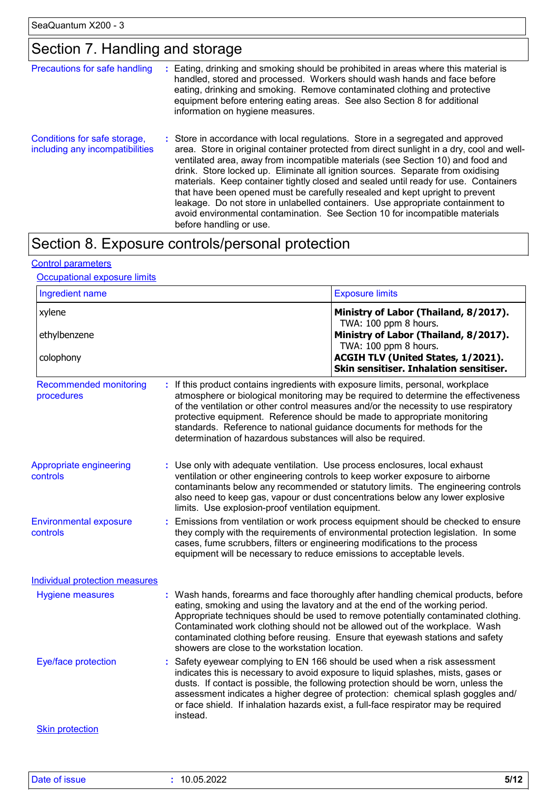### Section 7. Handling and storage

| Precautions for safe handling                                   | Eating, drinking and smoking should be prohibited in areas where this material is<br>handled, stored and processed. Workers should wash hands and face before<br>eating, drinking and smoking. Remove contaminated clothing and protective<br>equipment before entering eating areas. See also Section 8 for additional<br>information on hygiene measures.                                                                                                                                                                                                                                                                                                                                                             |
|-----------------------------------------------------------------|-------------------------------------------------------------------------------------------------------------------------------------------------------------------------------------------------------------------------------------------------------------------------------------------------------------------------------------------------------------------------------------------------------------------------------------------------------------------------------------------------------------------------------------------------------------------------------------------------------------------------------------------------------------------------------------------------------------------------|
| Conditions for safe storage,<br>including any incompatibilities | : Store in accordance with local regulations. Store in a segregated and approved<br>area. Store in original container protected from direct sunlight in a dry, cool and well-<br>ventilated area, away from incompatible materials (see Section 10) and food and<br>drink. Store locked up. Eliminate all ignition sources. Separate from oxidising<br>materials. Keep container tightly closed and sealed until ready for use. Containers<br>that have been opened must be carefully resealed and kept upright to prevent<br>leakage. Do not store in unlabelled containers. Use appropriate containment to<br>avoid environmental contamination. See Section 10 for incompatible materials<br>before handling or use. |

# Section 8. Exposure controls/personal protection

#### Control parameters

#### Occupational exposure limits

| Ingredient name                             |                                                                                                                                                                                                                             | <b>Exposure limits</b>                                                                                                                                                                                                                                                                                                                                                                                                         |
|---------------------------------------------|-----------------------------------------------------------------------------------------------------------------------------------------------------------------------------------------------------------------------------|--------------------------------------------------------------------------------------------------------------------------------------------------------------------------------------------------------------------------------------------------------------------------------------------------------------------------------------------------------------------------------------------------------------------------------|
| xylene                                      |                                                                                                                                                                                                                             | Ministry of Labor (Thailand, 8/2017).<br>TWA: 100 ppm 8 hours.                                                                                                                                                                                                                                                                                                                                                                 |
| ethylbenzene                                |                                                                                                                                                                                                                             | Ministry of Labor (Thailand, 8/2017).<br>TWA: 100 ppm 8 hours.                                                                                                                                                                                                                                                                                                                                                                 |
| colophony                                   |                                                                                                                                                                                                                             | ACGIH TLV (United States, 1/2021).<br>Skin sensitiser. Inhalation sensitiser.                                                                                                                                                                                                                                                                                                                                                  |
| <b>Recommended monitoring</b><br>procedures | : If this product contains ingredients with exposure limits, personal, workplace<br>standards. Reference to national guidance documents for methods for the<br>determination of hazardous substances will also be required. | atmosphere or biological monitoring may be required to determine the effectiveness<br>of the ventilation or other control measures and/or the necessity to use respiratory<br>protective equipment. Reference should be made to appropriate monitoring                                                                                                                                                                         |
| Appropriate engineering<br>controls         | : Use only with adequate ventilation. Use process enclosures, local exhaust<br>limits. Use explosion-proof ventilation equipment.                                                                                           | ventilation or other engineering controls to keep worker exposure to airborne<br>contaminants below any recommended or statutory limits. The engineering controls<br>also need to keep gas, vapour or dust concentrations below any lower explosive                                                                                                                                                                            |
| <b>Environmental exposure</b><br>controls   | cases, fume scrubbers, filters or engineering modifications to the process<br>equipment will be necessary to reduce emissions to acceptable levels.                                                                         | Emissions from ventilation or work process equipment should be checked to ensure<br>they comply with the requirements of environmental protection legislation. In some                                                                                                                                                                                                                                                         |
| <b>Individual protection measures</b>       |                                                                                                                                                                                                                             |                                                                                                                                                                                                                                                                                                                                                                                                                                |
| <b>Hygiene measures</b>                     | showers are close to the workstation location.                                                                                                                                                                              | : Wash hands, forearms and face thoroughly after handling chemical products, before<br>eating, smoking and using the lavatory and at the end of the working period.<br>Appropriate techniques should be used to remove potentially contaminated clothing.<br>Contaminated work clothing should not be allowed out of the workplace. Wash<br>contaminated clothing before reusing. Ensure that eyewash stations and safety      |
| Eye/face protection                         | instead.                                                                                                                                                                                                                    | Safety eyewear complying to EN 166 should be used when a risk assessment<br>indicates this is necessary to avoid exposure to liquid splashes, mists, gases or<br>dusts. If contact is possible, the following protection should be worn, unless the<br>assessment indicates a higher degree of protection: chemical splash goggles and/<br>or face shield. If inhalation hazards exist, a full-face respirator may be required |
|                                             |                                                                                                                                                                                                                             |                                                                                                                                                                                                                                                                                                                                                                                                                                |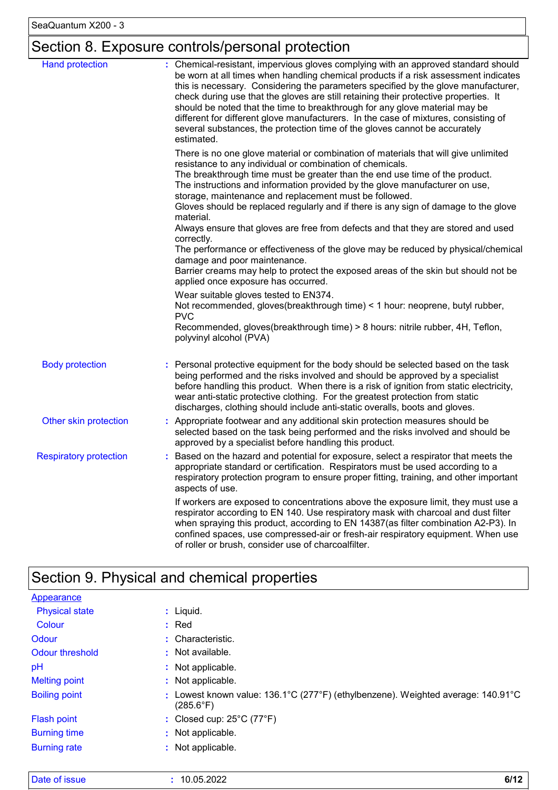# Section 8. Exposure controls/personal protection

| <b>Hand protection</b>        | : Chemical-resistant, impervious gloves complying with an approved standard should<br>be worn at all times when handling chemical products if a risk assessment indicates<br>this is necessary. Considering the parameters specified by the glove manufacturer,<br>check during use that the gloves are still retaining their protective properties. It<br>should be noted that the time to breakthrough for any glove material may be<br>different for different glove manufacturers. In the case of mixtures, consisting of<br>several substances, the protection time of the gloves cannot be accurately<br>estimated. |
|-------------------------------|---------------------------------------------------------------------------------------------------------------------------------------------------------------------------------------------------------------------------------------------------------------------------------------------------------------------------------------------------------------------------------------------------------------------------------------------------------------------------------------------------------------------------------------------------------------------------------------------------------------------------|
|                               | There is no one glove material or combination of materials that will give unlimited<br>resistance to any individual or combination of chemicals.<br>The breakthrough time must be greater than the end use time of the product.<br>The instructions and information provided by the glove manufacturer on use,<br>storage, maintenance and replacement must be followed.<br>Gloves should be replaced regularly and if there is any sign of damage to the glove                                                                                                                                                           |
|                               | material.<br>Always ensure that gloves are free from defects and that they are stored and used                                                                                                                                                                                                                                                                                                                                                                                                                                                                                                                            |
|                               | correctly.<br>The performance or effectiveness of the glove may be reduced by physical/chemical<br>damage and poor maintenance.<br>Barrier creams may help to protect the exposed areas of the skin but should not be<br>applied once exposure has occurred.                                                                                                                                                                                                                                                                                                                                                              |
|                               | Wear suitable gloves tested to EN374.<br>Not recommended, gloves(breakthrough time) < 1 hour: neoprene, butyl rubber,<br><b>PVC</b><br>Recommended, gloves(breakthrough time) > 8 hours: nitrile rubber, 4H, Teflon,                                                                                                                                                                                                                                                                                                                                                                                                      |
|                               | polyvinyl alcohol (PVA)                                                                                                                                                                                                                                                                                                                                                                                                                                                                                                                                                                                                   |
| <b>Body protection</b>        | Personal protective equipment for the body should be selected based on the task<br>being performed and the risks involved and should be approved by a specialist<br>before handling this product. When there is a risk of ignition from static electricity,<br>wear anti-static protective clothing. For the greatest protection from static<br>discharges, clothing should include anti-static overalls, boots and gloves.                                                                                                                                                                                               |
| Other skin protection         | : Appropriate footwear and any additional skin protection measures should be<br>selected based on the task being performed and the risks involved and should be<br>approved by a specialist before handling this product.                                                                                                                                                                                                                                                                                                                                                                                                 |
| <b>Respiratory protection</b> | Based on the hazard and potential for exposure, select a respirator that meets the<br>appropriate standard or certification. Respirators must be used according to a<br>respiratory protection program to ensure proper fitting, training, and other important<br>aspects of use.                                                                                                                                                                                                                                                                                                                                         |
|                               | If workers are exposed to concentrations above the exposure limit, they must use a<br>respirator according to EN 140. Use respiratory mask with charcoal and dust filter<br>when spraying this product, according to EN 14387(as filter combination A2-P3). In<br>confined spaces, use compressed-air or fresh-air respiratory equipment. When use<br>of roller or brush, consider use of charcoalfilter.                                                                                                                                                                                                                 |

# Section 9. Physical and chemical properties

| <b>Appearance</b>     |                                                                                                            |
|-----------------------|------------------------------------------------------------------------------------------------------------|
| <b>Physical state</b> | $:$ Liquid.                                                                                                |
| Colour                | $:$ Red                                                                                                    |
| Odour                 | : Characteristic.                                                                                          |
| Odour threshold       | $\cdot$ Not available.                                                                                     |
| pH                    | : Not applicable.                                                                                          |
| <b>Melting point</b>  | : Not applicable.                                                                                          |
| <b>Boiling point</b>  | Lowest known value: 136.1°C (277°F) (ethylbenzene). Weighted average: 140.91°C<br>÷.<br>$(285.6^{\circ}F)$ |
| Flash point           | : Closed cup: $25^{\circ}$ C (77 $^{\circ}$ F)                                                             |
| <b>Burning time</b>   | : Not applicable.                                                                                          |
| <b>Burning rate</b>   | : Not applicable.                                                                                          |

| Date of issue |  | 10.05.2022 | 011 O |
|---------------|--|------------|-------|
|---------------|--|------------|-------|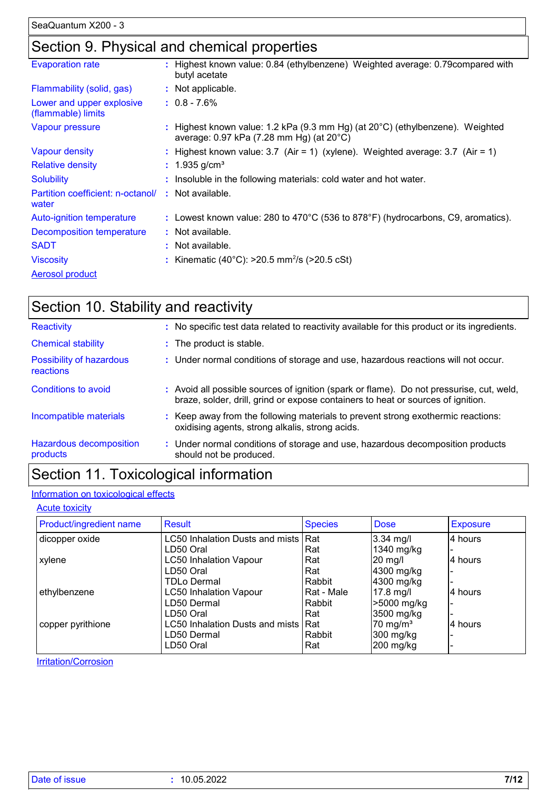### Section 9. Physical and chemical properties

| <b>Evaporation rate</b>                         | : Highest known value: 0.84 (ethylbenzene) Weighted average: 0.79 compared with<br>butyl acetate                          |
|-------------------------------------------------|---------------------------------------------------------------------------------------------------------------------------|
| Flammability (solid, gas)                       | : Not applicable.                                                                                                         |
| Lower and upper explosive<br>(flammable) limits | $: 0.8 - 7.6\%$                                                                                                           |
| Vapour pressure                                 | : Highest known value: 1.2 kPa (9.3 mm Hg) (at 20°C) (ethylbenzene). Weighted<br>average: 0.97 kPa (7.28 mm Hg) (at 20°C) |
| <b>Vapour density</b>                           | : Highest known value: $3.7$ (Air = 1) (xylene). Weighted average: $3.7$ (Air = 1)                                        |
| <b>Relative density</b>                         | : $1.935$ g/cm <sup>3</sup>                                                                                               |
| <b>Solubility</b>                               | : Insoluble in the following materials: cold water and hot water.                                                         |
| Partition coefficient: n-octanol/<br>water      | : Not available.                                                                                                          |
| Auto-ignition temperature                       | : Lowest known value: 280 to 470°C (536 to 878°F) (hydrocarbons, C9, aromatics).                                          |
| Decomposition temperature                       | : Not available.                                                                                                          |
| <b>SADT</b>                                     | : Not available.                                                                                                          |
| <b>Viscosity</b>                                | : Kinematic (40°C): $>20.5$ mm <sup>2</sup> /s ( $>20.5$ cSt)                                                             |
| <b>Aerosol product</b>                          |                                                                                                                           |

| Section 10. Stability and reactivity  |                                                                                                                                                                              |
|---------------------------------------|------------------------------------------------------------------------------------------------------------------------------------------------------------------------------|
| Reactivity                            | : No specific test data related to reactivity available for this product or its ingredients.                                                                                 |
| <b>Chemical stability</b>             | : The product is stable.                                                                                                                                                     |
| Possibility of hazardous<br>reactions | : Under normal conditions of storage and use, hazardous reactions will not occur.                                                                                            |
| Conditions to avoid                   | : Avoid all possible sources of ignition (spark or flame). Do not pressurise, cut, weld,<br>braze, solder, drill, grind or expose containers to heat or sources of ignition. |
| Incompatible materials                | : Keep away from the following materials to prevent strong exothermic reactions:<br>oxidising agents, strong alkalis, strong acids.                                          |
| Hazardous decomposition<br>products   | : Under normal conditions of storage and use, hazardous decomposition products<br>should not be produced.                                                                    |
|                                       |                                                                                                                                                                              |

## Section 11. Toxicological information

### Information on toxicological effects

**Acute toxicity** 

| Product/ingredient name | Result                              | <b>Species</b> | <b>Dose</b>          | <b>Exposure</b> |
|-------------------------|-------------------------------------|----------------|----------------------|-----------------|
| dicopper oxide          | LC50 Inhalation Dusts and mists Rat |                | $3.34$ mg/l          | 4 hours         |
|                         | LD50 Oral                           | Rat            | 1340 mg/kg           |                 |
| xylene                  | <b>LC50 Inhalation Vapour</b>       | Rat            | $20$ mg/l            | 4 hours         |
|                         | LD50 Oral                           | Rat            | 4300 mg/kg           |                 |
|                         | <b>TDLo Dermal</b>                  | Rabbit         | 4300 mg/kg           |                 |
| ethylbenzene            | <b>LC50 Inhalation Vapour</b>       | Rat - Male     | 17.8 mg/l            | l4 hours        |
|                         | LD50 Dermal                         | Rabbit         | >5000 mg/kg          |                 |
|                         | LD50 Oral                           | Rat            | 3500 mg/kg           |                 |
| copper pyrithione       | LC50 Inhalation Dusts and mists Rat |                | 70 mg/m <sup>3</sup> | 14 hours        |
|                         | LD50 Dermal                         | Rabbit         | 300 mg/kg            |                 |
|                         | LD50 Oral                           | Rat            | 200 mg/kg            |                 |

**Irritation/Corrosion**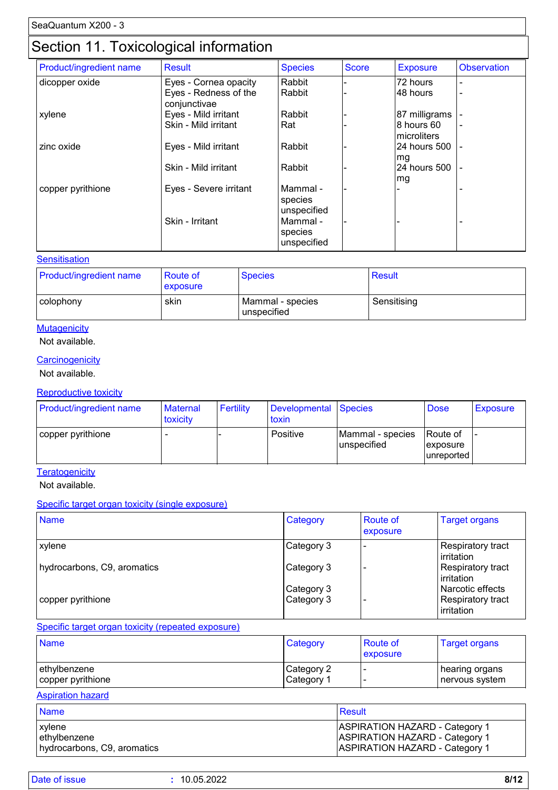### Section 11. Toxicological information

| Product/ingredient name | <b>Result</b>                         | <b>Species</b>                     | <b>Score</b> | <b>Exposure</b>            | <b>Observation</b>       |
|-------------------------|---------------------------------------|------------------------------------|--------------|----------------------------|--------------------------|
| dicopper oxide          | Eyes - Cornea opacity                 | Rabbit                             |              | 72 hours                   | $\blacksquare$           |
|                         | Eyes - Redness of the<br>conjunctivae | Rabbit                             |              | 48 hours                   | $\overline{\phantom{a}}$ |
| xylene                  | Eyes - Mild irritant                  | Rabbit                             |              | 87 milligrams              |                          |
|                         | Skin - Mild irritant                  | Rat                                |              | 8 hours 60<br>Imicroliters |                          |
| zinc oxide              | Eyes - Mild irritant                  | Rabbit                             |              | 24 hours 500<br>mg         | $\overline{\phantom{a}}$ |
|                         | Skin - Mild irritant                  | Rabbit                             |              | 24 hours 500<br>mg         | $\overline{\phantom{a}}$ |
| copper pyrithione       | Eyes - Severe irritant                | Mammal -<br>species<br>unspecified |              |                            |                          |
|                         | Skin - Irritant                       | Mammal -<br>species<br>unspecified |              |                            |                          |

#### **Sensitisation**

| <b>Product/ingredient name</b> | <b>Route of</b><br><b>exposure</b> | <b>Species</b>                  | <b>Result</b> |
|--------------------------------|------------------------------------|---------------------------------|---------------|
| l colophony                    | skin                               | Mammal - species<br>unspecified | Sensitising   |

#### **Mutagenicity**

#### Not available.

#### **Carcinogenicity**

Not available.

#### Reproductive toxicity

| <b>Product/ingredient name</b> | <b>Maternal</b><br>toxicity | Fertility | Developmental Species<br>toxin |                                 | <b>Dose</b>                                | <b>Exposure</b> |
|--------------------------------|-----------------------------|-----------|--------------------------------|---------------------------------|--------------------------------------------|-----------------|
| copper pyrithione              |                             |           | Positive                       | Mammal - species<br>unspecified | <b>Route of</b><br>exposure<br>lunreported |                 |

**Teratogenicity** 

Not available.

#### Specific target organ toxicity (single exposure)

| <b>Name</b>                 | Category   | <b>Route of</b><br>exposure | <b>Target organs</b>                    |
|-----------------------------|------------|-----------------------------|-----------------------------------------|
| <b>xylene</b>               | Category 3 |                             | Respiratory tract<br>irritation         |
| hydrocarbons, C9, aromatics | Category 3 |                             | Respiratory tract<br><b>lirritation</b> |
|                             | Category 3 |                             | Narcotic effects                        |
| copper pyrithione           | Category 3 |                             | Respiratory tract<br>irritation         |

#### Specific target organ toxicity (repeated exposure)

| <b>Name</b>       | Category               | Route of<br>exposure | <b>Target organs</b> |
|-------------------|------------------------|----------------------|----------------------|
| ethylbenzene      | Category 2             |                      | ∣ hearing organs     |
| copper pyrithione | ∣Category <sup>1</sup> |                      | nervous system       |

#### Aspiration hazard

| <b>Name</b>                 | <b>Result</b>                         |
|-----------------------------|---------------------------------------|
| <b>xylene</b>               | <b>ASPIRATION HAZARD - Category 1</b> |
| ethylbenzene                | <b>ASPIRATION HAZARD - Category 1</b> |
| hydrocarbons, C9, aromatics | <b>ASPIRATION HAZARD - Category 1</b> |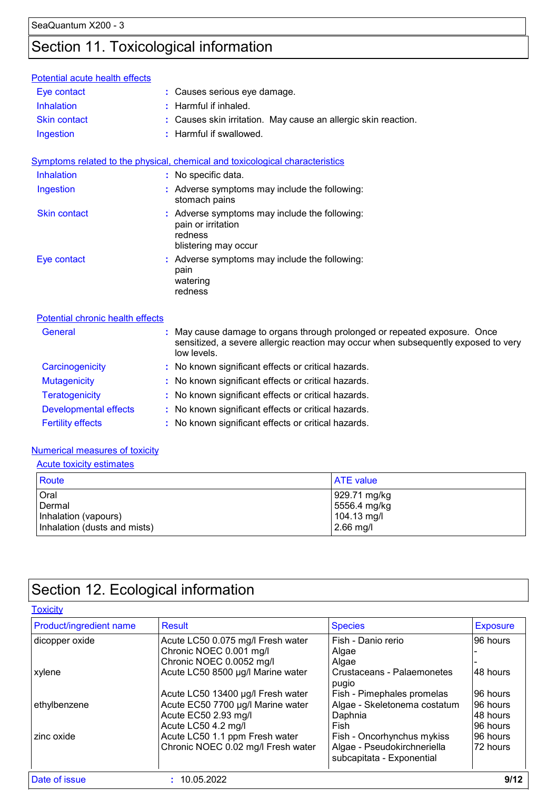# Section 11. Toxicological information

| Potential acute health effects   |                                                                                                                                                                              |
|----------------------------------|------------------------------------------------------------------------------------------------------------------------------------------------------------------------------|
| Eye contact                      | : Causes serious eye damage.                                                                                                                                                 |
| <b>Inhalation</b>                | : Harmful if inhaled.                                                                                                                                                        |
| <b>Skin contact</b>              | : Causes skin irritation. May cause an allergic skin reaction.                                                                                                               |
| Ingestion                        | : Harmful if swallowed.                                                                                                                                                      |
|                                  | Symptoms related to the physical, chemical and toxicological characteristics                                                                                                 |
| Inhalation                       | : No specific data.                                                                                                                                                          |
| Ingestion                        | : Adverse symptoms may include the following:<br>stomach pains                                                                                                               |
| <b>Skin contact</b>              | : Adverse symptoms may include the following:<br>pain or irritation<br>redness<br>blistering may occur                                                                       |
| Eye contact                      | : Adverse symptoms may include the following:<br>pain<br>watering<br>redness                                                                                                 |
| Potential chronic health effects |                                                                                                                                                                              |
| <b>General</b>                   | May cause damage to organs through prolonged or repeated exposure. Once<br>sensitized, a severe allergic reaction may occur when subsequently exposed to very<br>low levels. |
| Carcinogenicity                  | : No known significant effects or critical hazards.                                                                                                                          |
| <b>Mutagenicity</b>              | : No known significant effects or critical hazards.                                                                                                                          |
| <b>Teratogenicity</b>            | No known significant effects or critical hazards.                                                                                                                            |
| <b>Developmental effects</b>     | : No known significant effects or critical hazards.                                                                                                                          |
| <b>Fertility effects</b>         | : No known significant effects or critical hazards.                                                                                                                          |

#### Numerical measures of toxicity

| <b>Acute toxicity estimates</b>                                        |                                                            |  |  |
|------------------------------------------------------------------------|------------------------------------------------------------|--|--|
| Route                                                                  | <b>ATE</b> value                                           |  |  |
| Oral<br>Dermal<br>Inhalation (vapours)<br>Inhalation (dusts and mists) | 929.71 mg/kg<br>5556.4 mg/kg<br>104.13 mg/l<br>$2.66$ mg/l |  |  |

# Section 12. Ecological information

| <b>Toxicity</b>         |                                    |                                                          |                 |
|-------------------------|------------------------------------|----------------------------------------------------------|-----------------|
| Product/ingredient name | <b>Result</b>                      | <b>Species</b>                                           | <b>Exposure</b> |
| dicopper oxide          | Acute LC50 0.075 mg/l Fresh water  | Fish - Danio rerio                                       | 96 hours        |
|                         | Chronic NOEC 0.001 mg/l            | Algae                                                    |                 |
|                         | Chronic NOEC 0.0052 mg/l           | Algae                                                    |                 |
| xylene                  | Acute LC50 8500 µg/l Marine water  | Crustaceans - Palaemonetes<br>pugio                      | 48 hours        |
|                         | Acute LC50 13400 µg/l Fresh water  | Fish - Pimephales promelas                               | 96 hours        |
| ethylbenzene            | Acute EC50 7700 µg/l Marine water  | Algae - Skeletonema costatum                             | 196 hours       |
|                         | Acute EC50 2.93 mg/l               | Daphnia                                                  | 48 hours        |
|                         | Acute LC50 4.2 mg/l                | Fish                                                     | 96 hours        |
| zinc oxide              | Acute LC50 1.1 ppm Fresh water     | Fish - Oncorhynchus mykiss                               | 96 hours        |
|                         | Chronic NOEC 0.02 mg/l Fresh water | Algae - Pseudokirchneriella<br>subcapitata - Exponential | 72 hours        |
| Date of issue           | : 10.05.2022                       |                                                          | 9/12            |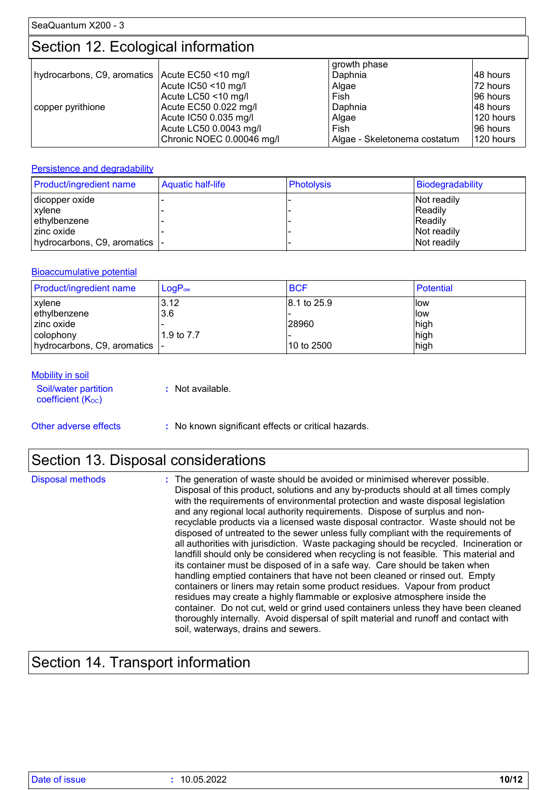### Section 12. Ecological information

|                                                 |                           | growth phase                 |             |
|-------------------------------------------------|---------------------------|------------------------------|-------------|
| hydrocarbons, C9, aromatics Acute EC50 <10 mg/l |                           | Daphnia                      | 148 hours   |
|                                                 | Acute IC50 <10 mg/l       | Algae                        | 72 hours    |
|                                                 | Acute LC50 <10 mg/l       | Fish                         | 196 hours   |
| copper pyrithione                               | Acute EC50 0.022 mg/l     | Daphnia                      | 148 hours   |
|                                                 | Acute IC50 0.035 mg/l     | Algae                        | l 120 hours |
|                                                 | Acute LC50 0.0043 mg/l    | Fish                         | 196 hours   |
|                                                 | Chronic NOEC 0.00046 mg/l | Algae - Skeletonema costatum | 120 hours   |

#### **Persistence and degradability**

| Product/ingredient name        | <b>Aquatic half-life</b> | <b>Photolysis</b> | Biodegradability |
|--------------------------------|--------------------------|-------------------|------------------|
| dicopper oxide                 |                          |                   | Not readily      |
| xylene                         |                          |                   | Readily          |
| ethylbenzene                   |                          |                   | Readily          |
| l zinc oxide                   |                          |                   | Not readily      |
| hydrocarbons, C9, aromatics  - |                          |                   | Not readily      |

#### Bioaccumulative potential

| <b>Product/ingredient name</b> | $LogP_{ow}$ | <b>BCF</b>  | Potential |
|--------------------------------|-------------|-------------|-----------|
| <b>xylene</b>                  | 3.12        | 8.1 to 25.9 | llow      |
| ethylbenzene                   | 3.6         |             | llow      |
| l zinc oxide                   |             | 28960       | high      |
| l colophony                    | 1.9 to 7.7  |             | high      |
| hydrocarbons, C9, aromatics  - |             | 10 to 2500  | high      |

#### **Mobility in soil**

| Soil/water partition<br>coefficient $(K_{OC})$ | : Not available. |
|------------------------------------------------|------------------|
|                                                |                  |

Other adverse effects **:** No known significant effects or critical hazards.

### Section 13. Disposal considerations

| <b>Disposal methods</b> | : The generation of waste should be avoided or minimised wherever possible.<br>Disposal of this product, solutions and any by-products should at all times comply<br>with the requirements of environmental protection and waste disposal legislation<br>and any regional local authority requirements. Dispose of surplus and non-<br>recyclable products via a licensed waste disposal contractor. Waste should not be<br>disposed of untreated to the sewer unless fully compliant with the requirements of<br>all authorities with jurisdiction. Waste packaging should be recycled. Incineration or<br>landfill should only be considered when recycling is not feasible. This material and<br>its container must be disposed of in a safe way. Care should be taken when<br>handling emptied containers that have not been cleaned or rinsed out. Empty<br>containers or liners may retain some product residues. Vapour from product<br>residues may create a highly flammable or explosive atmosphere inside the<br>container. Do not cut, weld or grind used containers unless they have been cleaned<br>thoroughly internally. Avoid dispersal of spilt material and runoff and contact with |
|-------------------------|--------------------------------------------------------------------------------------------------------------------------------------------------------------------------------------------------------------------------------------------------------------------------------------------------------------------------------------------------------------------------------------------------------------------------------------------------------------------------------------------------------------------------------------------------------------------------------------------------------------------------------------------------------------------------------------------------------------------------------------------------------------------------------------------------------------------------------------------------------------------------------------------------------------------------------------------------------------------------------------------------------------------------------------------------------------------------------------------------------------------------------------------------------------------------------------------------------|
|                         | soil, waterways, drains and sewers.                                                                                                                                                                                                                                                                                                                                                                                                                                                                                                                                                                                                                                                                                                                                                                                                                                                                                                                                                                                                                                                                                                                                                                    |

# Section 14. Transport information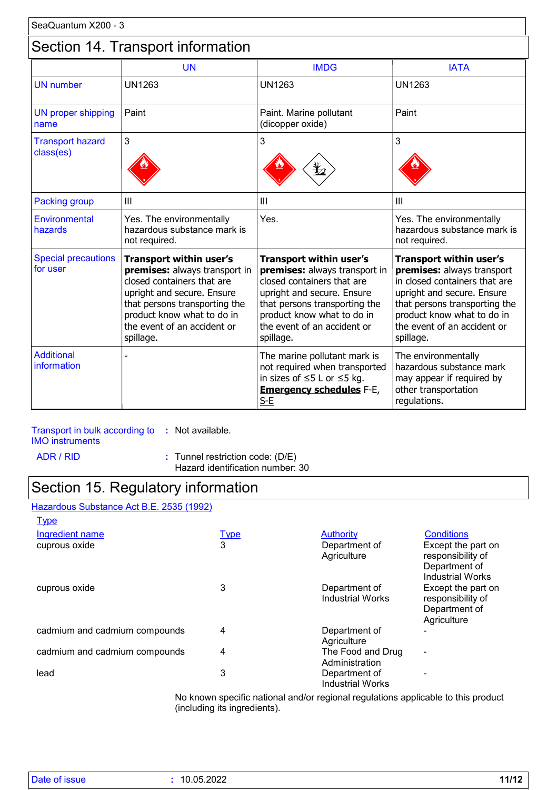### Section 14. Transport information

|                                        | <b>UN</b>                                                                                                                                                                                                                       | <b>IMDG</b>                                                                                                                                                                                                                            | <b>IATA</b>                                                                                                                                                                                                                     |
|----------------------------------------|---------------------------------------------------------------------------------------------------------------------------------------------------------------------------------------------------------------------------------|----------------------------------------------------------------------------------------------------------------------------------------------------------------------------------------------------------------------------------------|---------------------------------------------------------------------------------------------------------------------------------------------------------------------------------------------------------------------------------|
| <b>UN</b> number                       | <b>UN1263</b>                                                                                                                                                                                                                   | <b>UN1263</b>                                                                                                                                                                                                                          | <b>UN1263</b>                                                                                                                                                                                                                   |
| UN proper shipping<br>name             | Paint                                                                                                                                                                                                                           | Paint. Marine pollutant<br>(dicopper oxide)                                                                                                                                                                                            | Paint                                                                                                                                                                                                                           |
| <b>Transport hazard</b><br>class(es)   | 3                                                                                                                                                                                                                               | 3                                                                                                                                                                                                                                      | 3                                                                                                                                                                                                                               |
| <b>Packing group</b>                   | III                                                                                                                                                                                                                             | III                                                                                                                                                                                                                                    | III                                                                                                                                                                                                                             |
| <b>Environmental</b><br>hazards        | Yes. The environmentally<br>hazardous substance mark is<br>not required.                                                                                                                                                        | Yes.                                                                                                                                                                                                                                   | Yes. The environmentally<br>hazardous substance mark is<br>not required.                                                                                                                                                        |
| <b>Special precautions</b><br>for user | Transport within user's<br>premises: always transport in<br>closed containers that are<br>upright and secure. Ensure<br>that persons transporting the<br>product know what to do in<br>the event of an accident or<br>spillage. | <b>Transport within user's</b><br>premises: always transport in<br>closed containers that are<br>upright and secure. Ensure<br>that persons transporting the<br>product know what to do in<br>the event of an accident or<br>spillage. | Transport within user's<br>premises: always transport<br>in closed containers that are<br>upright and secure. Ensure<br>that persons transporting the<br>product know what to do in<br>the event of an accident or<br>spillage. |
| <b>Additional</b><br>information       |                                                                                                                                                                                                                                 | The marine pollutant mark is<br>not required when transported<br>in sizes of $\leq$ 5 L or $\leq$ 5 kg.<br><b>Emergency schedules F-E,</b><br>$S-E$                                                                                    | The environmentally<br>hazardous substance mark<br>may appear if required by<br>other transportation<br>regulations.                                                                                                            |

### Transport in bulk according to **:** Not available.

IMO instruments

ADR / RID **:** Tunnel restriction code: (D/E)

Hazard identification number: 30

### Section 15. Regulatory information

#### Hazardous Substance Act B.E. 2535 (1992) **Type**

| حصيت                          |             |                                          |                                                                                     |
|-------------------------------|-------------|------------------------------------------|-------------------------------------------------------------------------------------|
| Ingredient name               | <u>Type</u> | <b>Authority</b>                         | <b>Conditions</b>                                                                   |
| cuprous oxide                 | 3           | Department of<br>Agriculture             | Except the part on<br>responsibility of<br>Department of<br><b>Industrial Works</b> |
| cuprous oxide                 | 3           | Department of<br><b>Industrial Works</b> | Except the part on<br>responsibility of<br>Department of<br>Agriculture             |
| cadmium and cadmium compounds | 4           | Department of<br>Agriculture             |                                                                                     |
| cadmium and cadmium compounds | 4           | The Food and Drug<br>Administration      | $\blacksquare$                                                                      |
| lead                          | 3           | Department of<br><b>Industrial Works</b> |                                                                                     |

No known specific national and/or regional regulations applicable to this product (including its ingredients).